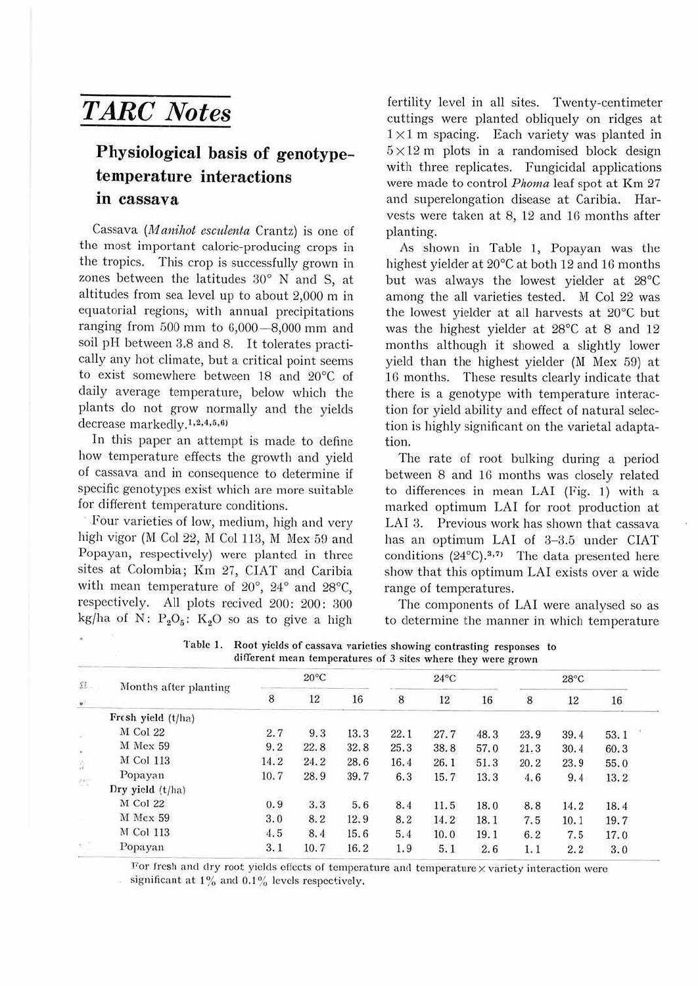## *TARC Notes*

## **Physiological basis of genotypetemperature interactions in cassava**

Cassava *(M anihot esculenta* Crantz) is one of the most important calorie-producing crops in the tropics. This crop is successfully grown in zones between the latitudes 30° N and S, at altitudes from sea level up to about 2,000 m in equatorial regions, with annual precipitations ranging from  $500$  mm to  $6,000 - 8,000$  mm and soil pH between 3.8 and 8. It tolerates practically any hot climate, but a critical point seems to exist somewhere between 18 and 20°C of daily average temperature, below which the plants do not grow normally and the yields decrease markedly.<sup>1,2,4,5,6)</sup>

In this paper an attempt is made to define how temperature effects the growth and yield of cassava and in consequence to determine if specific genotypes exist which are more suitable for different temperature conditions.

.Four varieties of low, medium, high and very high vigor (M Col 22, M Col 113, M Mex 59 and Popayan, respectively) were planted in three sites at Colombia; Km 27, CIAT and Caribia with mean temperature of 20°, 24° and 28°C, respectively. All plots recived 200: 200: 300 kg/ha of N:  $P_2O_5$ : K<sub>2</sub>O so as to give a high

fertility level in all sites. Twenty-centimeter cuttings were planted obliquely on ridges at  $1 \times 1$  m spacing. Each variety was planted in  $5 \times 12$  m plots in a randomised block design with three replicates. Fungicidal applications were made to control *Phoma* leaf spot at Km 27 and superelongation disease at Caribia. Harvests were taken at 8, 12 and lG months after planting.

As shown in Table l, Popayan was the highest yielder at 20°C at both 12 and 16 months but was always the lowest yielder at 28°C among the all varieties tested. M Col 22 was the lowest yielder at all harvests at 20°C but was the highest yielder at 28°C at 8 and 12 months although it showed a slightly lower yield than the highest yielder (M Mex 59) at 16 months. These results clearly indicate that there is a genotype with temperature interaction for yield ability and effect of natural selection is highly significant on the varietal adaptation.

The rate of root bulking during a period between 8 and 16 months was closely related to differences in mean LAI (Fig. l) with a marked optimum LAI for root production at LAI 3. Previous work has shown that cassava has an optimum LAI of 3-3.5 under CIAT conditions  $(24^{\circ}C).^{3,7}$  The data presented here show that this optimum LAI exists over a wide range of temperatures.

The components of LAI were analysed so as to determine the manner in which temperature

| $\Omega$ .<br>$\circ$ | Months after planting | $20^{\circ}$ C |        |      | $24^{\circ}$ C |      |      | $28^{\circ}$ C |      |      |
|-----------------------|-----------------------|----------------|--------|------|----------------|------|------|----------------|------|------|
|                       |                       | $\overline{8}$ | $12\,$ | 16   | 8              | 12   | 16   | 8              | 12   | 16   |
|                       | Fresh yield (t/ha)    |                |        |      |                |      |      |                |      |      |
|                       | M Col 22              | 2.7            | 9.3    | 13.3 | 22.1           | 27.7 | 48.3 | 23.9           | 39.4 | 53.1 |
|                       | M Mex 59              | 9.2            | 22.8   | 32.8 | 25.3           | 38.8 | 57.0 | 21.3           | 30.4 | 60.3 |
|                       | M Col 113             | 14.2           | 24.2   | 28.6 | 16.4           | 26.1 | 51.3 | 20.2           | 23.9 | 55.0 |
| 辩                     | Popayan               | 10.7           | 28.9   | 39.7 | 6.3            | 15.7 | 13.3 | 4.6            | 9.4  | 13.2 |
|                       | Dry yield (t/ha)      |                |        |      |                |      |      |                |      |      |
|                       | M Col 22              | 0.9            | 3.3    | 5.6  | 8.4            | 11.5 | 18.0 | 8.8            | 14.2 | 18.4 |
|                       | <b>M</b> Mex 59       | 3.0            | 8.2    | 12.9 | 8.2            | 14.2 | 18.1 | 7.5            | 10.1 | 19.7 |
|                       | M Col 113             | 4.5            | 8.4    | 15.6 | 5.4            | 10.0 | 19.1 | 6.2            | 7.5  | 17.0 |
| 81.                   | Popayan               | 3.1            | 10.7   | 16.2 | 1.9            | 5.1  | 2.6  | 1.1            | 2.2  | 3.0  |

Table 1. Root yields of cassava varieties showing contrasting responses to different mean temperatures of 3 sites where they were grown

For fresh and dry root yields effects of temperature and temperature  $\times$  variety interaction were significant at  $1\%$  and  $0.1\%$  levels respectively.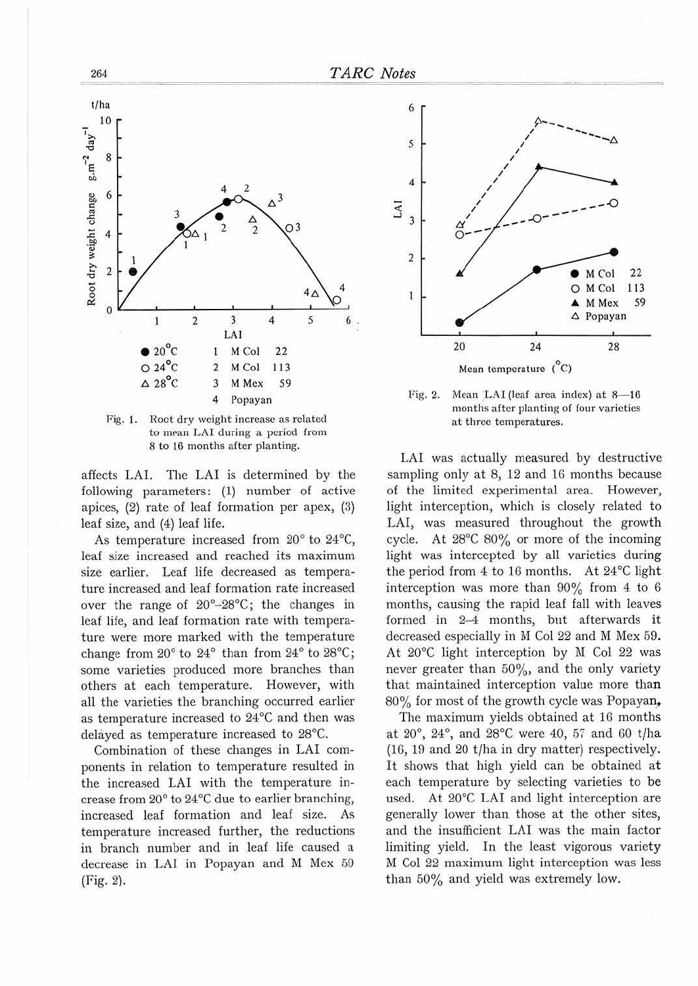

264

Fig. 1. Root dry weight increase as related to mean LAI during a period from 8 to 16 months after planting.

affects LAI. The LAI is determined by the following parameters: (1) number of active apices,  $(2)$  rate of leaf formation per apex,  $(3)$ leaf size, and (4) leaf life.

As temperature increased from 20° to 24°C, leaf size increased and reached its maximum size earlier. Leaf life decreased as temperature increased and leaf formation rate increased over the range of  $20^{\circ} - 28^{\circ}$ C; the changes in leaf life, and leaf formation rate with temperature were more marked with the temperature change from  $20^{\circ}$  to  $24^{\circ}$  than from  $24^{\circ}$  to  $28^{\circ}$ C; some varieties produced more branches than others at each temperature. However, with all the varieties the branching occurred earlier as temperature increased to 24°C and then was delayed as temperature increased to 28°C.

Combination of these changes in LAI components in relation to temperature resulted in the increased LAI with the temperature increase from 20° to 24°C due to earlier branching, increased leaf formation and leaf size. As temperature increased further, the reductions in branch number and in leaf life caused a decrease in LAI in Popayan and M Mex 59 (Fig. 2).



Mean LAI (leaf area index) at 8-16 Fig. 2. months after planting of four varieties at three temperatures.

LAI was actually measured by destructive sampling only at 8, 12 and 16 months because of the limited experimental area. However, light interception, which is closely related to LAI, was measured throughout the growth cycle. At 28°C 80% or more of the incoming light was intercepted by all varieties during the period from 4 to 16 months. At 24°C light interception was more than  $90\%$  from 4 to 6 months, causing the rapid leaf fall with leaves formed in 2-4 months, but afterwards it decreased especially in M Col 22 and M Mex 59. At 20°C light interception by M Col 22 was never greater than 50%, and the only variety that maintained interception value more than 80% for most of the growth cycle was Popayan,

The maximum yields obtained at 16 months at 20°, 24°, and 28°C were 40, 57 and 60 t/ha (16, 19 and 20 t/ha in dry matter) respectively. It shows that high yield can be obtained at each temperature by selecting varieties to be used. At 20°C LAI and light interception are generally lower than those at the other sites, and the insufficient LAI was the main factor limiting yield. In the least vigorous variety M Col 22 maximum light interception was less than 50% and yield was extremely low.